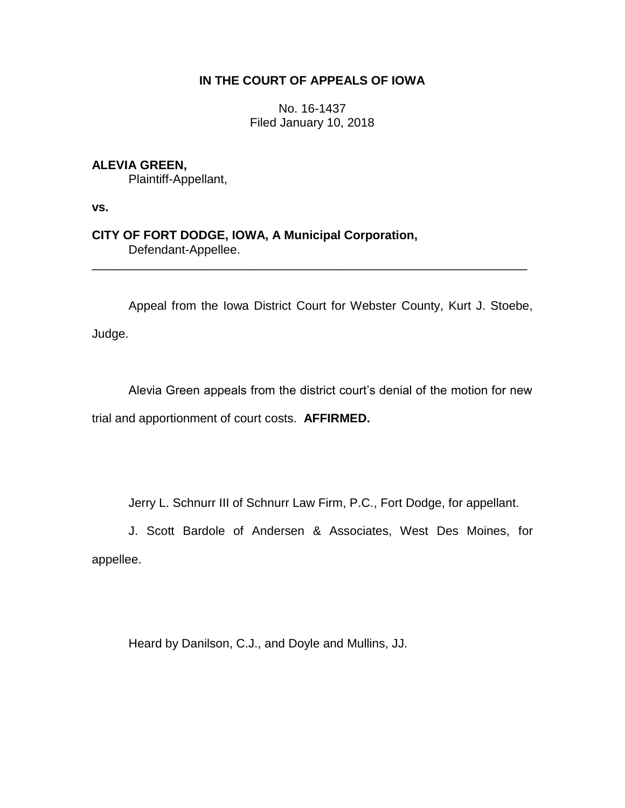# **IN THE COURT OF APPEALS OF IOWA**

No. 16-1437 Filed January 10, 2018

# **ALEVIA GREEN,**

Plaintiff-Appellant,

**vs.**

**CITY OF FORT DODGE, IOWA, A Municipal Corporation,** Defendant-Appellee.

Appeal from the Iowa District Court for Webster County, Kurt J. Stoebe,

\_\_\_\_\_\_\_\_\_\_\_\_\_\_\_\_\_\_\_\_\_\_\_\_\_\_\_\_\_\_\_\_\_\_\_\_\_\_\_\_\_\_\_\_\_\_\_\_\_\_\_\_\_\_\_\_\_\_\_\_\_\_\_\_

Judge.

Alevia Green appeals from the district court's denial of the motion for new trial and apportionment of court costs. **AFFIRMED.**

Jerry L. Schnurr III of Schnurr Law Firm, P.C., Fort Dodge, for appellant.

J. Scott Bardole of Andersen & Associates, West Des Moines, for appellee.

Heard by Danilson, C.J., and Doyle and Mullins, JJ.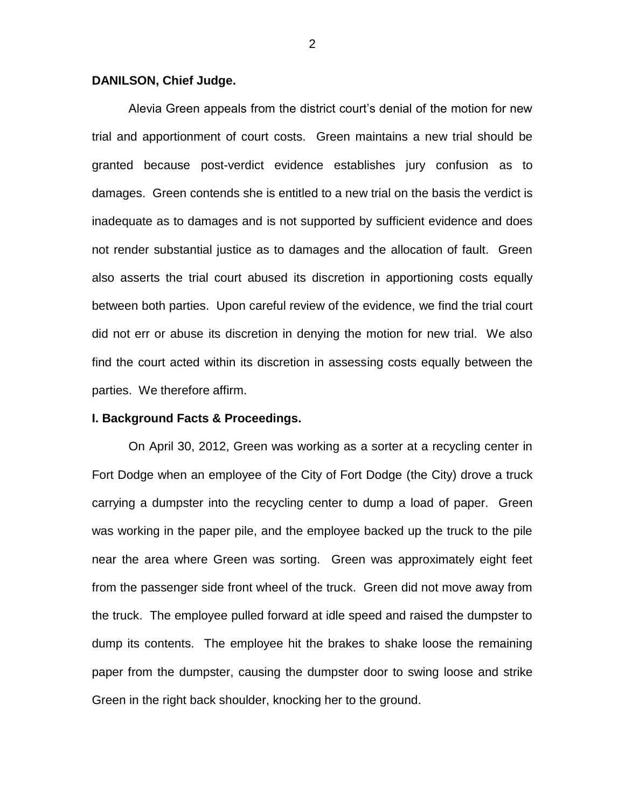## **DANILSON, Chief Judge.**

Alevia Green appeals from the district court's denial of the motion for new trial and apportionment of court costs. Green maintains a new trial should be granted because post-verdict evidence establishes jury confusion as to damages. Green contends she is entitled to a new trial on the basis the verdict is inadequate as to damages and is not supported by sufficient evidence and does not render substantial justice as to damages and the allocation of fault. Green also asserts the trial court abused its discretion in apportioning costs equally between both parties. Upon careful review of the evidence, we find the trial court did not err or abuse its discretion in denying the motion for new trial. We also find the court acted within its discretion in assessing costs equally between the parties. We therefore affirm.

## **I. Background Facts & Proceedings.**

On April 30, 2012, Green was working as a sorter at a recycling center in Fort Dodge when an employee of the City of Fort Dodge (the City) drove a truck carrying a dumpster into the recycling center to dump a load of paper. Green was working in the paper pile, and the employee backed up the truck to the pile near the area where Green was sorting. Green was approximately eight feet from the passenger side front wheel of the truck. Green did not move away from the truck. The employee pulled forward at idle speed and raised the dumpster to dump its contents. The employee hit the brakes to shake loose the remaining paper from the dumpster, causing the dumpster door to swing loose and strike Green in the right back shoulder, knocking her to the ground.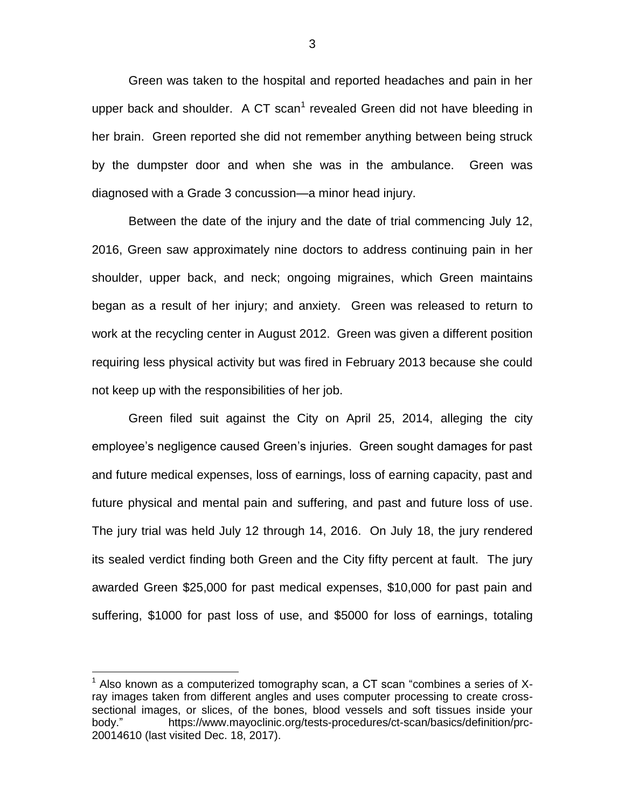Green was taken to the hospital and reported headaches and pain in her upper back and shoulder. A CT scan<sup>1</sup> revealed Green did not have bleeding in her brain. Green reported she did not remember anything between being struck by the dumpster door and when she was in the ambulance. Green was diagnosed with a Grade 3 concussion—a minor head injury.

Between the date of the injury and the date of trial commencing July 12, 2016, Green saw approximately nine doctors to address continuing pain in her shoulder, upper back, and neck; ongoing migraines, which Green maintains began as a result of her injury; and anxiety. Green was released to return to work at the recycling center in August 2012. Green was given a different position requiring less physical activity but was fired in February 2013 because she could not keep up with the responsibilities of her job.

Green filed suit against the City on April 25, 2014, alleging the city employee's negligence caused Green's injuries. Green sought damages for past and future medical expenses, loss of earnings, loss of earning capacity, past and future physical and mental pain and suffering, and past and future loss of use. The jury trial was held July 12 through 14, 2016. On July 18, the jury rendered its sealed verdict finding both Green and the City fifty percent at fault. The jury awarded Green \$25,000 for past medical expenses, \$10,000 for past pain and suffering, \$1000 for past loss of use, and \$5000 for loss of earnings, totaling

 $\overline{a}$ 

 $1$  Also known as a computerized tomography scan, a CT scan "combines a series of Xray images taken from different angles and uses computer processing to create crosssectional images, or slices, of the bones, blood vessels and soft tissues inside your body." https://www.mayoclinic.org/tests-procedures/ct-scan/basics/definition/prc-20014610 (last visited Dec. 18, 2017).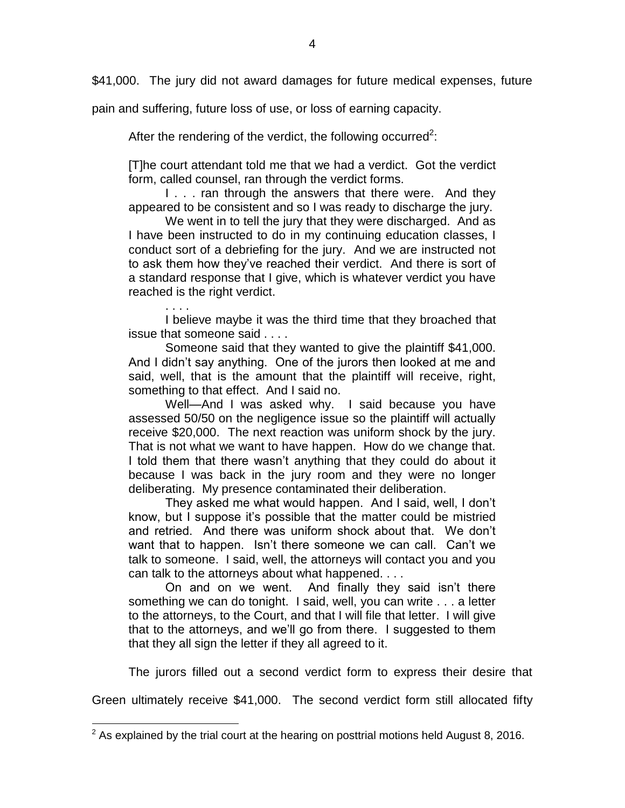\$41,000. The jury did not award damages for future medical expenses, future

pain and suffering, future loss of use, or loss of earning capacity.

. . . .

 $\overline{a}$ 

After the rendering of the verdict, the following occurred<sup>2</sup>:

[T]he court attendant told me that we had a verdict. Got the verdict form, called counsel, ran through the verdict forms.

I... ran through the answers that there were. And they appeared to be consistent and so I was ready to discharge the jury.

We went in to tell the jury that they were discharged. And as I have been instructed to do in my continuing education classes, I conduct sort of a debriefing for the jury. And we are instructed not to ask them how they've reached their verdict. And there is sort of a standard response that I give, which is whatever verdict you have reached is the right verdict.

I believe maybe it was the third time that they broached that issue that someone said . . . .

Someone said that they wanted to give the plaintiff \$41,000. And I didn't say anything. One of the jurors then looked at me and said, well, that is the amount that the plaintiff will receive, right, something to that effect. And I said no.

Well-And I was asked why. I said because you have assessed 50/50 on the negligence issue so the plaintiff will actually receive \$20,000. The next reaction was uniform shock by the jury. That is not what we want to have happen. How do we change that. I told them that there wasn't anything that they could do about it because I was back in the jury room and they were no longer deliberating. My presence contaminated their deliberation.

They asked me what would happen. And I said, well, I don't know, but I suppose it's possible that the matter could be mistried and retried. And there was uniform shock about that. We don't want that to happen. Isn't there someone we can call. Can't we talk to someone. I said, well, the attorneys will contact you and you can talk to the attorneys about what happened. . . .

On and on we went. And finally they said isn't there something we can do tonight. I said, well, you can write . . . a letter to the attorneys, to the Court, and that I will file that letter. I will give that to the attorneys, and we'll go from there. I suggested to them that they all sign the letter if they all agreed to it.

The jurors filled out a second verdict form to express their desire that

Green ultimately receive \$41,000. The second verdict form still allocated fifty

 $2$  As explained by the trial court at the hearing on posttrial motions held August 8, 2016.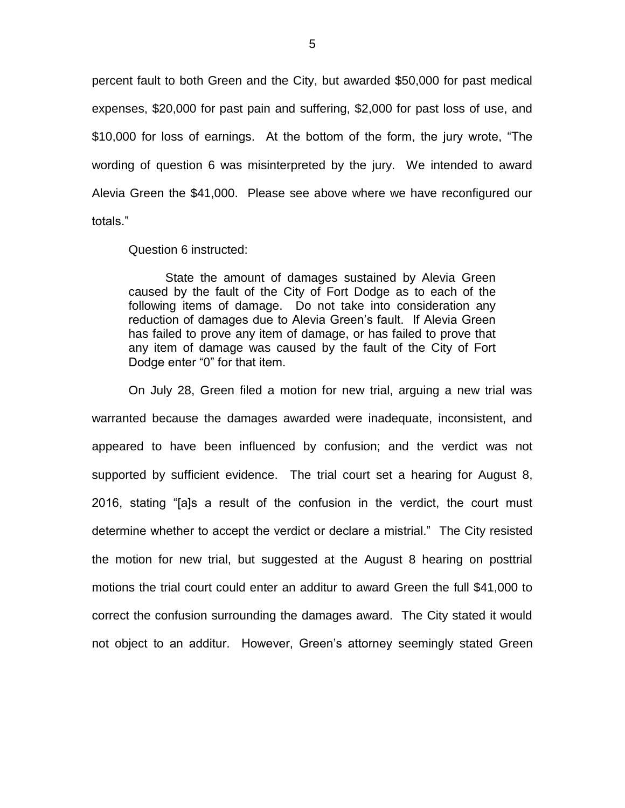percent fault to both Green and the City, but awarded \$50,000 for past medical expenses, \$20,000 for past pain and suffering, \$2,000 for past loss of use, and \$10,000 for loss of earnings. At the bottom of the form, the jury wrote, "The wording of question 6 was misinterpreted by the jury. We intended to award Alevia Green the \$41,000. Please see above where we have reconfigured our totals."

Question 6 instructed:

State the amount of damages sustained by Alevia Green caused by the fault of the City of Fort Dodge as to each of the following items of damage. Do not take into consideration any reduction of damages due to Alevia Green's fault. If Alevia Green has failed to prove any item of damage, or has failed to prove that any item of damage was caused by the fault of the City of Fort Dodge enter "0" for that item.

On July 28, Green filed a motion for new trial, arguing a new trial was warranted because the damages awarded were inadequate, inconsistent, and appeared to have been influenced by confusion; and the verdict was not supported by sufficient evidence. The trial court set a hearing for August 8, 2016, stating "[a]s a result of the confusion in the verdict, the court must determine whether to accept the verdict or declare a mistrial." The City resisted the motion for new trial, but suggested at the August 8 hearing on posttrial motions the trial court could enter an additur to award Green the full \$41,000 to correct the confusion surrounding the damages award. The City stated it would not object to an additur. However, Green's attorney seemingly stated Green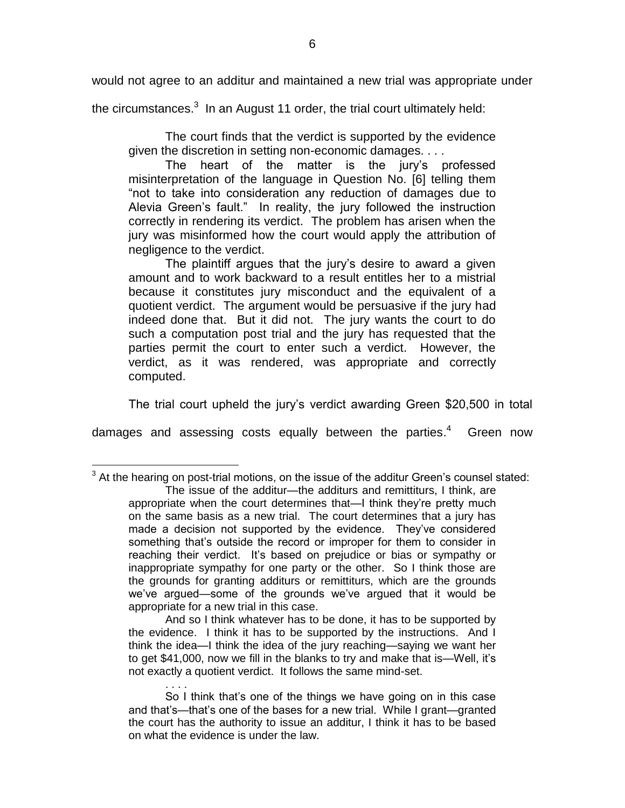would not agree to an additur and maintained a new trial was appropriate under

the circumstances. $^3$  In an August 11 order, the trial court ultimately held:

The court finds that the verdict is supported by the evidence given the discretion in setting non-economic damages. . . .

The heart of the matter is the jury's professed misinterpretation of the language in Question No. [6] telling them "not to take into consideration any reduction of damages due to Alevia Green's fault." In reality, the jury followed the instruction correctly in rendering its verdict. The problem has arisen when the jury was misinformed how the court would apply the attribution of negligence to the verdict.

The plaintiff argues that the jury's desire to award a given amount and to work backward to a result entitles her to a mistrial because it constitutes jury misconduct and the equivalent of a quotient verdict. The argument would be persuasive if the jury had indeed done that. But it did not. The jury wants the court to do such a computation post trial and the jury has requested that the parties permit the court to enter such a verdict. However, the verdict, as it was rendered, was appropriate and correctly computed.

The trial court upheld the jury's verdict awarding Green \$20,500 in total

damages and assessing costs equally between the parties. $4$ Green now

 $\overline{a}$ 

. . . .

 $3$  At the hearing on post-trial motions, on the issue of the additur Green's counsel stated: The issue of the additur—the additurs and remittiturs, I think, are appropriate when the court determines that—I think they're pretty much on the same basis as a new trial. The court determines that a jury has made a decision not supported by the evidence. They've considered something that's outside the record or improper for them to consider in reaching their verdict. It's based on prejudice or bias or sympathy or inappropriate sympathy for one party or the other. So I think those are the grounds for granting additurs or remittiturs, which are the grounds we've argued—some of the grounds we've argued that it would be appropriate for a new trial in this case.

And so I think whatever has to be done, it has to be supported by the evidence. I think it has to be supported by the instructions. And I think the idea—I think the idea of the jury reaching—saying we want her to get \$41,000, now we fill in the blanks to try and make that is—Well, it's not exactly a quotient verdict. It follows the same mind-set.

So I think that's one of the things we have going on in this case and that's—that's one of the bases for a new trial. While I grant—granted the court has the authority to issue an additur, I think it has to be based on what the evidence is under the law.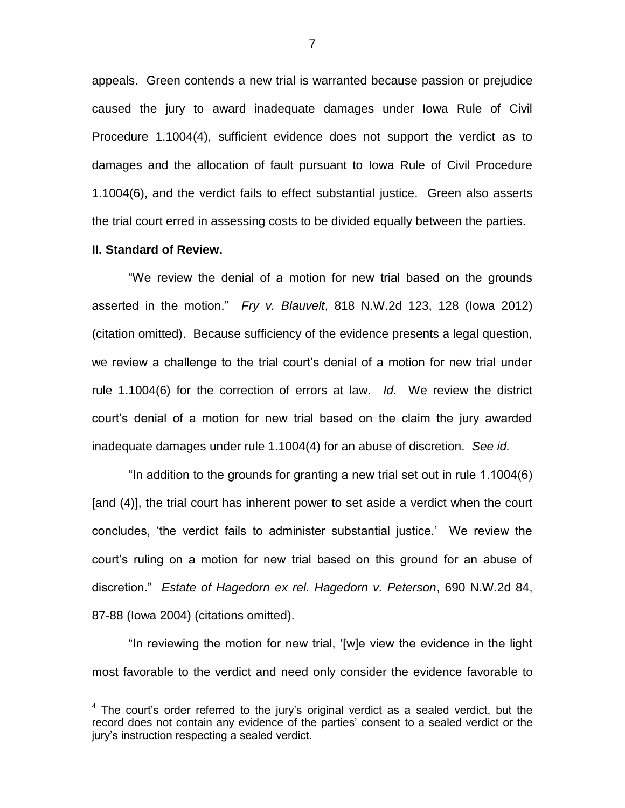appeals. Green contends a new trial is warranted because passion or prejudice caused the jury to award inadequate damages under Iowa Rule of Civil Procedure 1.1004(4), sufficient evidence does not support the verdict as to damages and the allocation of fault pursuant to Iowa Rule of Civil Procedure 1.1004(6), and the verdict fails to effect substantial justice. Green also asserts the trial court erred in assessing costs to be divided equally between the parties.

## **II. Standard of Review.**

 $\overline{a}$ 

"We review the denial of a motion for new trial based on the grounds asserted in the motion." *Fry v. Blauvelt*, 818 N.W.2d 123, 128 (Iowa 2012) (citation omitted). Because sufficiency of the evidence presents a legal question, we review a challenge to the trial court's denial of a motion for new trial under rule 1.1004(6) for the correction of errors at law. *Id.* We review the district court's denial of a motion for new trial based on the claim the jury awarded inadequate damages under rule 1.1004(4) for an abuse of discretion. *See id.*

"In addition to the grounds for granting a new trial set out in rule 1.1004(6) [and (4)], the trial court has inherent power to set aside a verdict when the court concludes, 'the verdict fails to administer substantial justice.' We review the court's ruling on a motion for new trial based on this ground for an abuse of discretion." *Estate of Hagedorn ex rel. Hagedorn v. Peterson*, 690 N.W.2d 84, 87-88 (Iowa 2004) (citations omitted).

"In reviewing the motion for new trial, '[w]e view the evidence in the light most favorable to the verdict and need only consider the evidence favorable to

 $4$  The court's order referred to the jury's original verdict as a sealed verdict, but the record does not contain any evidence of the parties' consent to a sealed verdict or the jury's instruction respecting a sealed verdict.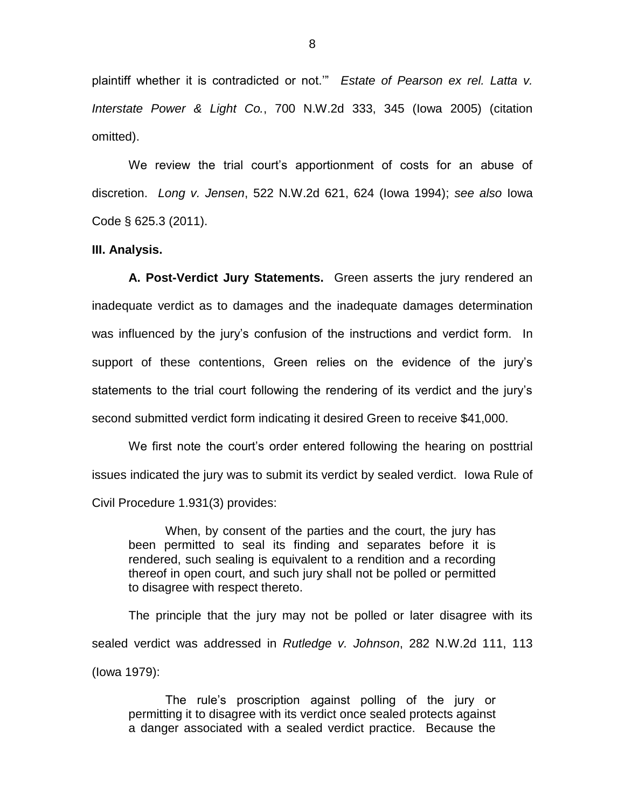plaintiff whether it is contradicted or not.'" *Estate of Pearson ex rel. Latta v. Interstate Power & Light Co.*, 700 N.W.2d 333, 345 (Iowa 2005) (citation omitted).

We review the trial court's apportionment of costs for an abuse of discretion. *Long v. Jensen*, 522 N.W.2d 621, 624 (Iowa 1994); *see also* Iowa Code § 625.3 (2011).

## **III. Analysis.**

**A. Post-Verdict Jury Statements.** Green asserts the jury rendered an inadequate verdict as to damages and the inadequate damages determination was influenced by the jury's confusion of the instructions and verdict form. In support of these contentions, Green relies on the evidence of the jury's statements to the trial court following the rendering of its verdict and the jury's second submitted verdict form indicating it desired Green to receive \$41,000.

We first note the court's order entered following the hearing on posttrial issues indicated the jury was to submit its verdict by sealed verdict. Iowa Rule of Civil Procedure 1.931(3) provides:

When, by consent of the parties and the court, the jury has been permitted to seal its finding and separates before it is rendered, such sealing is equivalent to a rendition and a recording thereof in open court, and such jury shall not be polled or permitted to disagree with respect thereto.

The principle that the jury may not be polled or later disagree with its sealed verdict was addressed in *Rutledge v. Johnson*, 282 N.W.2d 111, 113 (Iowa 1979):

The rule's proscription against polling of the jury or permitting it to disagree with its verdict once sealed protects against a danger associated with a sealed verdict practice. Because the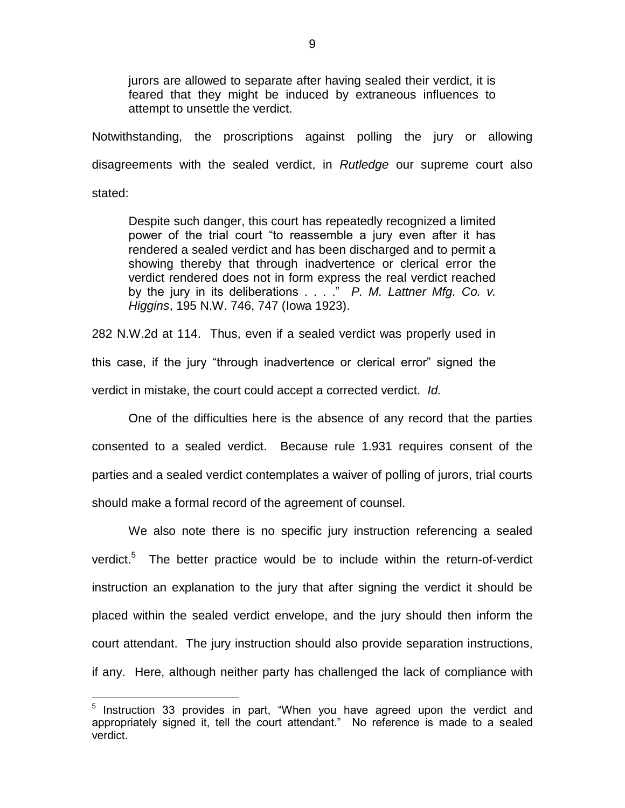jurors are allowed to separate after having sealed their verdict, it is feared that they might be induced by extraneous influences to attempt to unsettle the verdict.

Notwithstanding, the proscriptions against polling the jury or allowing disagreements with the sealed verdict, in *Rutledge* our supreme court also stated:

Despite such danger, this court has repeatedly recognized a limited power of the trial court "to reassemble a jury even after it has rendered a sealed verdict and has been discharged and to permit a showing thereby that through inadvertence or clerical error the verdict rendered does not in form express the real verdict reached by the jury in its deliberations . . . ." *P. M. Lattner Mfg. Co. v. Higgins*, 195 N.W. 746, 747 (Iowa 1923).

282 N.W.2d at 114. Thus, even if a sealed verdict was properly used in this case, if the jury "through inadvertence or clerical error" signed the verdict in mistake, the court could accept a corrected verdict. *Id.*

One of the difficulties here is the absence of any record that the parties consented to a sealed verdict. Because rule 1.931 requires consent of the parties and a sealed verdict contemplates a waiver of polling of jurors, trial courts should make a formal record of the agreement of counsel.

We also note there is no specific jury instruction referencing a sealed verdict.<sup>5</sup> The better practice would be to include within the return-of-verdict instruction an explanation to the jury that after signing the verdict it should be placed within the sealed verdict envelope, and the jury should then inform the court attendant. The jury instruction should also provide separation instructions, if any. Here, although neither party has challenged the lack of compliance with

 $\overline{a}$ 

<sup>&</sup>lt;sup>5</sup> Instruction 33 provides in part, "When you have agreed upon the verdict and appropriately signed it, tell the court attendant." No reference is made to a sealed verdict.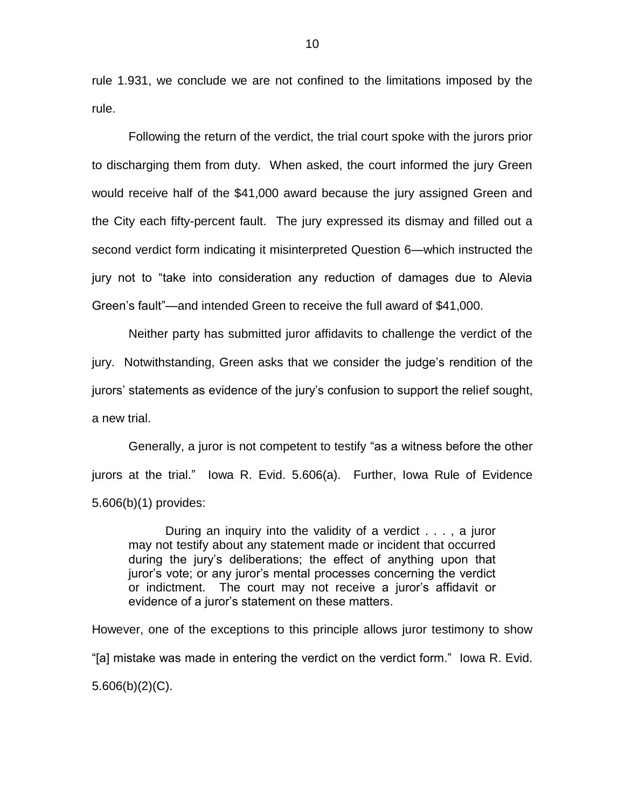rule 1.931, we conclude we are not confined to the limitations imposed by the rule.

Following the return of the verdict, the trial court spoke with the jurors prior to discharging them from duty. When asked, the court informed the jury Green would receive half of the \$41,000 award because the jury assigned Green and the City each fifty-percent fault. The jury expressed its dismay and filled out a second verdict form indicating it misinterpreted Question 6—which instructed the jury not to "take into consideration any reduction of damages due to Alevia Green's fault"—and intended Green to receive the full award of \$41,000.

Neither party has submitted juror affidavits to challenge the verdict of the jury. Notwithstanding, Green asks that we consider the judge's rendition of the jurors' statements as evidence of the jury's confusion to support the relief sought, a new trial.

Generally, a juror is not competent to testify "as a witness before the other jurors at the trial." Iowa R. Evid. 5.606(a). Further, Iowa Rule of Evidence 5.606(b)(1) provides:

During an inquiry into the validity of a verdict . . . , a juror may not testify about any statement made or incident that occurred during the jury's deliberations; the effect of anything upon that juror's vote; or any juror's mental processes concerning the verdict or indictment. The court may not receive a juror's affidavit or evidence of a juror's statement on these matters.

However, one of the exceptions to this principle allows juror testimony to show "[a] mistake was made in entering the verdict on the verdict form." Iowa R. Evid. 5.606(b)(2)(C).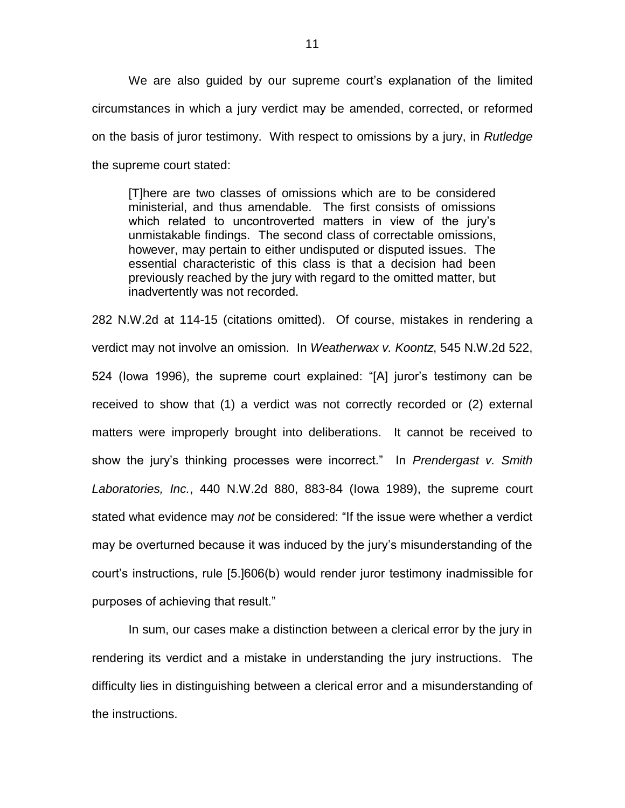We are also guided by our supreme court's explanation of the limited circumstances in which a jury verdict may be amended, corrected, or reformed on the basis of juror testimony. With respect to omissions by a jury, in *Rutledge* the supreme court stated:

[T]here are two classes of omissions which are to be considered ministerial, and thus amendable. The first consists of omissions which related to uncontroverted matters in view of the jury's unmistakable findings. The second class of correctable omissions, however, may pertain to either undisputed or disputed issues. The essential characteristic of this class is that a decision had been previously reached by the jury with regard to the omitted matter, but inadvertently was not recorded.

282 N.W.2d at 114-15 (citations omitted). Of course, mistakes in rendering a verdict may not involve an omission. In *Weatherwax v. Koontz*, 545 N.W.2d 522, 524 (Iowa 1996), the supreme court explained: "[A] juror's testimony can be received to show that (1) a verdict was not correctly recorded or (2) external matters were improperly brought into deliberations. It cannot be received to show the jury's thinking processes were incorrect." In *Prendergast v. Smith Laboratories, Inc.*, 440 N.W.2d 880, 883-84 (Iowa 1989), the supreme court stated what evidence may *not* be considered: "If the issue were whether a verdict may be overturned because it was induced by the jury's misunderstanding of the court's instructions, rule [5.]606(b) would render juror testimony inadmissible for purposes of achieving that result."

In sum, our cases make a distinction between a clerical error by the jury in rendering its verdict and a mistake in understanding the jury instructions. The difficulty lies in distinguishing between a clerical error and a misunderstanding of the instructions.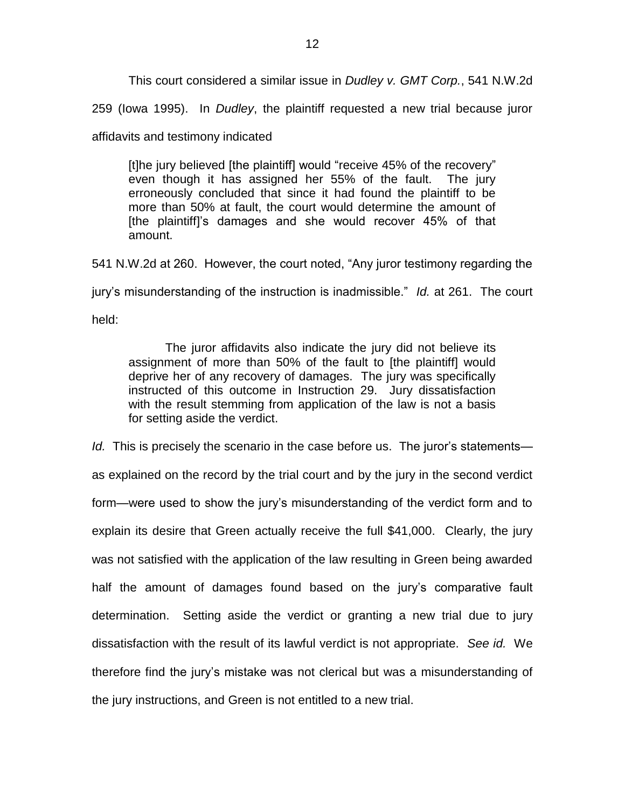This court considered a similar issue in *Dudley v. GMT Corp.*, 541 N.W.2d

259 (Iowa 1995). In *Dudley*, the plaintiff requested a new trial because juror

affidavits and testimony indicated

[t]he jury believed [the plaintiff] would "receive 45% of the recovery" even though it has assigned her 55% of the fault. The jury erroneously concluded that since it had found the plaintiff to be more than 50% at fault, the court would determine the amount of [the plaintiff]'s damages and she would recover 45% of that amount.

541 N.W.2d at 260. However, the court noted, "Any juror testimony regarding the

jury's misunderstanding of the instruction is inadmissible." *Id.* at 261. The court

held:

The juror affidavits also indicate the jury did not believe its assignment of more than 50% of the fault to [the plaintiff] would deprive her of any recovery of damages. The jury was specifically instructed of this outcome in Instruction 29. Jury dissatisfaction with the result stemming from application of the law is not a basis for setting aside the verdict.

*Id.* This is precisely the scenario in the case before us. The juror's statements as explained on the record by the trial court and by the jury in the second verdict form—were used to show the jury's misunderstanding of the verdict form and to explain its desire that Green actually receive the full \$41,000. Clearly, the jury was not satisfied with the application of the law resulting in Green being awarded half the amount of damages found based on the jury's comparative fault determination. Setting aside the verdict or granting a new trial due to jury dissatisfaction with the result of its lawful verdict is not appropriate. *See id.* We therefore find the jury's mistake was not clerical but was a misunderstanding of the jury instructions, and Green is not entitled to a new trial.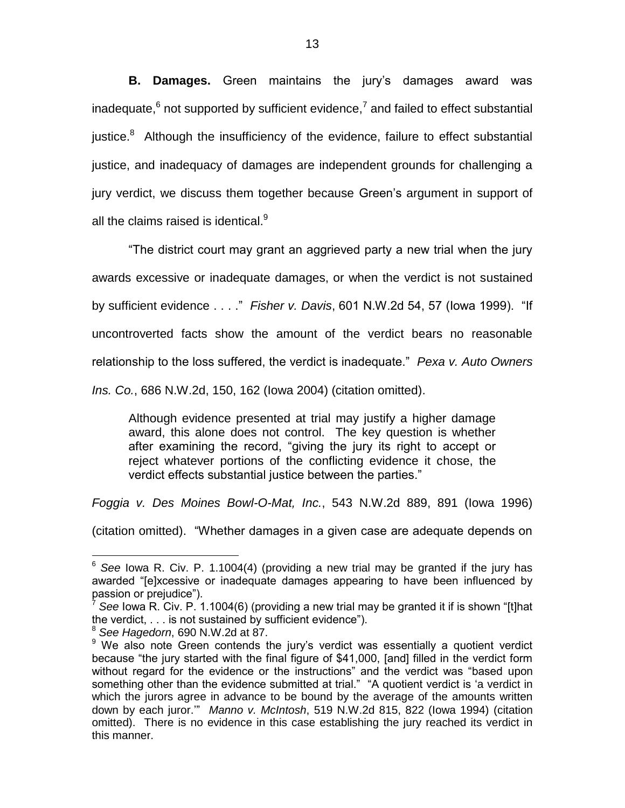**B. Damages.** Green maintains the jury's damages award was inadequate,  $6$  not supported by sufficient evidence,  $7$  and failed to effect substantial justice. $8$  Although the insufficiency of the evidence, failure to effect substantial justice, and inadequacy of damages are independent grounds for challenging a jury verdict, we discuss them together because Green's argument in support of all the claims raised is identical.<sup>9</sup>

"The district court may grant an aggrieved party a new trial when the jury awards excessive or inadequate damages, or when the verdict is not sustained by sufficient evidence . . . ." *Fisher v. Davis*, 601 N.W.2d 54, 57 (Iowa 1999). "If uncontroverted facts show the amount of the verdict bears no reasonable relationship to the loss suffered, the verdict is inadequate." *Pexa v. Auto Owners* 

*Ins. Co.*, 686 N.W.2d, 150, 162 (Iowa 2004) (citation omitted).

Although evidence presented at trial may justify a higher damage award, this alone does not control. The key question is whether after examining the record, "giving the jury its right to accept or reject whatever portions of the conflicting evidence it chose, the verdict effects substantial justice between the parties."

*Foggia v. Des Moines Bowl-O-Mat, Inc.*, 543 N.W.2d 889, 891 (Iowa 1996)

(citation omitted). "Whether damages in a given case are adequate depends on

 $\overline{a}$ <sup>6</sup> See lowa R. Civ. P. 1.1004(4) (providing a new trial may be granted if the jury has awarded "[e]xcessive or inadequate damages appearing to have been influenced by passion or prejudice").

<sup>7</sup> *See* Iowa R. Civ. P. 1.1004(6) (providing a new trial may be granted it if is shown "[t]hat the verdict, . . . is not sustained by sufficient evidence").

<sup>8</sup> *See Hagedorn*, 690 N.W.2d at 87.

<sup>&</sup>lt;sup>9</sup> We also note Green contends the jury's verdict was essentially a quotient verdict because "the jury started with the final figure of \$41,000, [and] filled in the verdict form without regard for the evidence or the instructions" and the verdict was "based upon something other than the evidence submitted at trial." "A quotient verdict is 'a verdict in which the jurors agree in advance to be bound by the average of the amounts written down by each juror.'" *Manno v. McIntosh*, 519 N.W.2d 815, 822 (Iowa 1994) (citation omitted). There is no evidence in this case establishing the jury reached its verdict in this manner.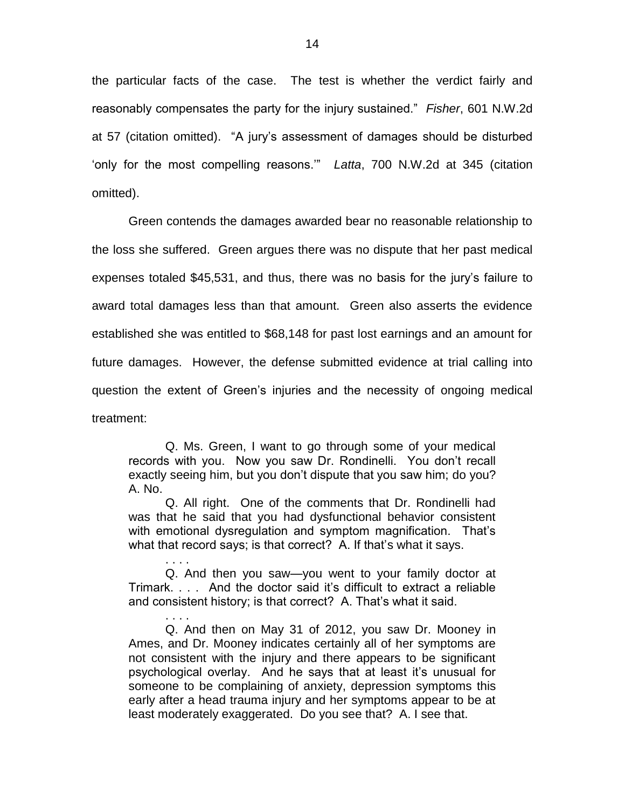the particular facts of the case. The test is whether the verdict fairly and reasonably compensates the party for the injury sustained." *Fisher*, 601 N.W.2d at 57 (citation omitted). "A jury's assessment of damages should be disturbed 'only for the most compelling reasons.'" *Latta*, 700 N.W.2d at 345 (citation omitted).

Green contends the damages awarded bear no reasonable relationship to the loss she suffered. Green argues there was no dispute that her past medical expenses totaled \$45,531, and thus, there was no basis for the jury's failure to award total damages less than that amount. Green also asserts the evidence established she was entitled to \$68,148 for past lost earnings and an amount for future damages. However, the defense submitted evidence at trial calling into question the extent of Green's injuries and the necessity of ongoing medical treatment:

Q. Ms. Green, I want to go through some of your medical records with you. Now you saw Dr. Rondinelli. You don't recall exactly seeing him, but you don't dispute that you saw him; do you? A. No.

Q. All right. One of the comments that Dr. Rondinelli had was that he said that you had dysfunctional behavior consistent with emotional dysregulation and symptom magnification. That's what that record says; is that correct? A. If that's what it says.

. . . . Q. And then you saw—you went to your family doctor at Trimark. . . . And the doctor said it's difficult to extract a reliable and consistent history; is that correct? A. That's what it said.

. . . .

Q. And then on May 31 of 2012, you saw Dr. Mooney in Ames, and Dr. Mooney indicates certainly all of her symptoms are not consistent with the injury and there appears to be significant psychological overlay. And he says that at least it's unusual for someone to be complaining of anxiety, depression symptoms this early after a head trauma injury and her symptoms appear to be at least moderately exaggerated. Do you see that? A. I see that.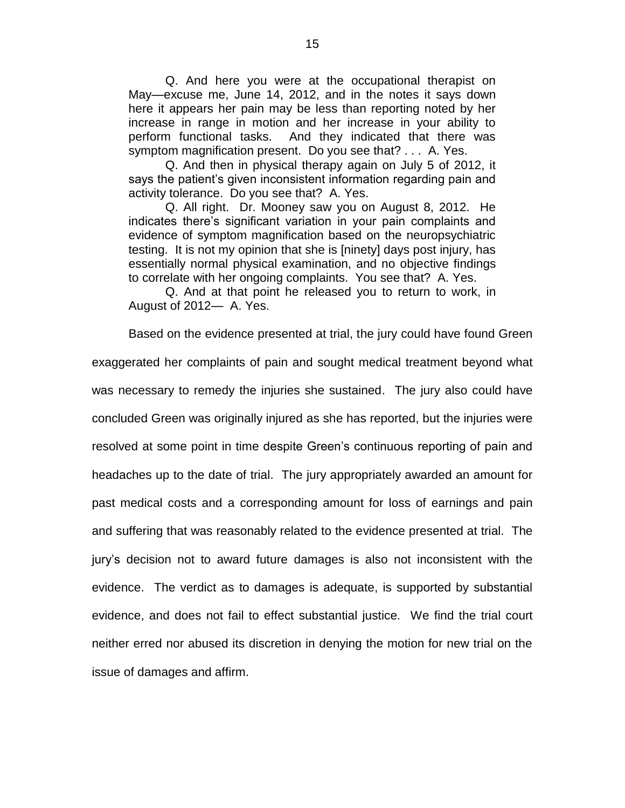Q. And here you were at the occupational therapist on May—excuse me, June 14, 2012, and in the notes it says down here it appears her pain may be less than reporting noted by her increase in range in motion and her increase in your ability to perform functional tasks. And they indicated that there was symptom magnification present. Do you see that? . . . A. Yes.

Q. And then in physical therapy again on July 5 of 2012, it says the patient's given inconsistent information regarding pain and activity tolerance. Do you see that? A. Yes.

Q. All right. Dr. Mooney saw you on August 8, 2012. He indicates there's significant variation in your pain complaints and evidence of symptom magnification based on the neuropsychiatric testing. It is not my opinion that she is [ninety] days post injury, has essentially normal physical examination, and no objective findings to correlate with her ongoing complaints. You see that? A. Yes.

Q. And at that point he released you to return to work, in August of 2012— A. Yes.

Based on the evidence presented at trial, the jury could have found Green

exaggerated her complaints of pain and sought medical treatment beyond what was necessary to remedy the injuries she sustained. The jury also could have concluded Green was originally injured as she has reported, but the injuries were resolved at some point in time despite Green's continuous reporting of pain and headaches up to the date of trial. The jury appropriately awarded an amount for past medical costs and a corresponding amount for loss of earnings and pain and suffering that was reasonably related to the evidence presented at trial. The jury's decision not to award future damages is also not inconsistent with the evidence. The verdict as to damages is adequate, is supported by substantial evidence, and does not fail to effect substantial justice. We find the trial court neither erred nor abused its discretion in denying the motion for new trial on the issue of damages and affirm.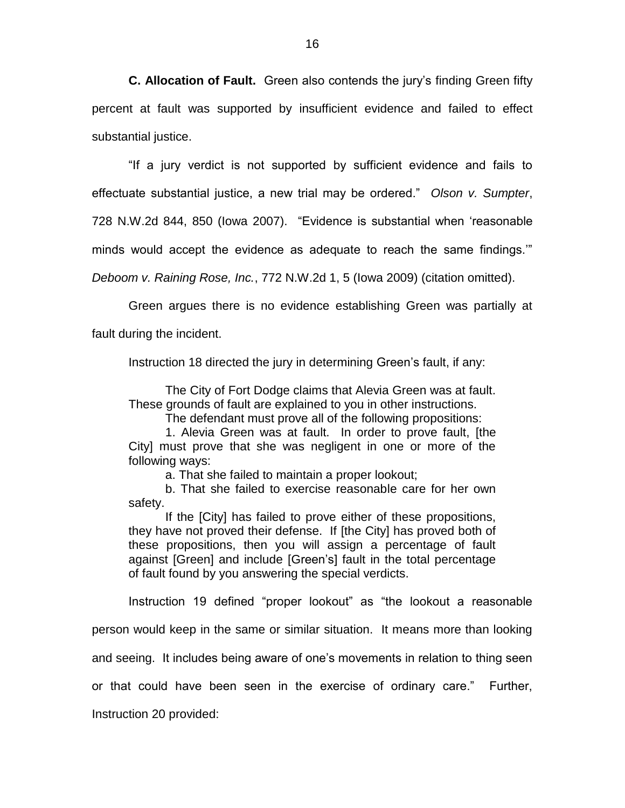**C. Allocation of Fault.** Green also contends the jury's finding Green fifty percent at fault was supported by insufficient evidence and failed to effect substantial justice.

"If a jury verdict is not supported by sufficient evidence and fails to effectuate substantial justice, a new trial may be ordered." *Olson v. Sumpter*, 728 N.W.2d 844, 850 (Iowa 2007). "Evidence is substantial when 'reasonable

minds would accept the evidence as adequate to reach the same findings.'"

*Deboom v. Raining Rose, Inc.*, 772 N.W.2d 1, 5 (Iowa 2009) (citation omitted).

Green argues there is no evidence establishing Green was partially at

fault during the incident.

Instruction 18 directed the jury in determining Green's fault, if any:

The City of Fort Dodge claims that Alevia Green was at fault. These grounds of fault are explained to you in other instructions.

The defendant must prove all of the following propositions:

1. Alevia Green was at fault. In order to prove fault, [the City] must prove that she was negligent in one or more of the following ways:

a. That she failed to maintain a proper lookout;

b. That she failed to exercise reasonable care for her own safety.

If the [City] has failed to prove either of these propositions, they have not proved their defense. If [the City] has proved both of these propositions, then you will assign a percentage of fault against [Green] and include [Green's] fault in the total percentage of fault found by you answering the special verdicts.

Instruction 19 defined "proper lookout" as "the lookout a reasonable

person would keep in the same or similar situation. It means more than looking

and seeing. It includes being aware of one's movements in relation to thing seen

or that could have been seen in the exercise of ordinary care." Further,

Instruction 20 provided: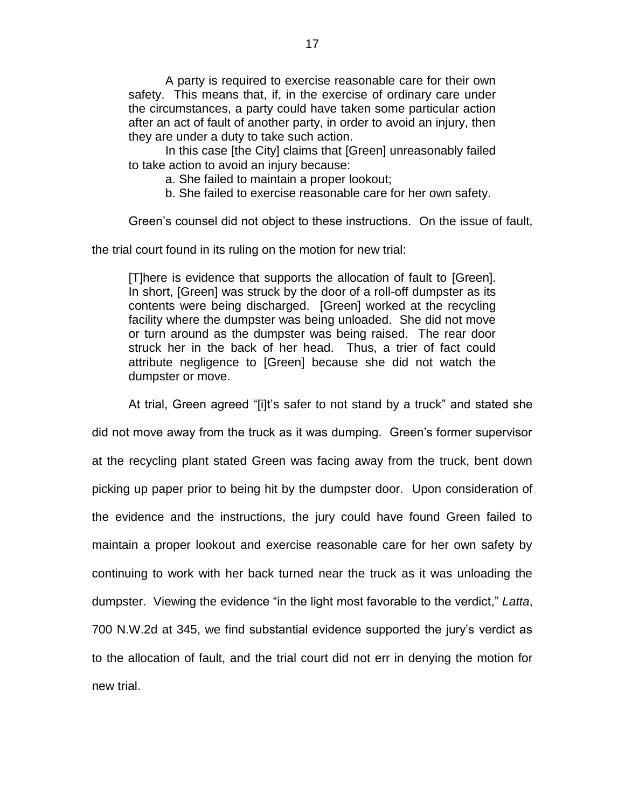A party is required to exercise reasonable care for their own safety. This means that, if, in the exercise of ordinary care under the circumstances, a party could have taken some particular action after an act of fault of another party, in order to avoid an injury, then they are under a duty to take such action.

In this case [the City] claims that [Green] unreasonably failed to take action to avoid an injury because:

a. She failed to maintain a proper lookout;

b. She failed to exercise reasonable care for her own safety.

Green's counsel did not object to these instructions. On the issue of fault,

the trial court found in its ruling on the motion for new trial:

[T]here is evidence that supports the allocation of fault to [Green]. In short, [Green] was struck by the door of a roll-off dumpster as its contents were being discharged. [Green] worked at the recycling facility where the dumpster was being unloaded. She did not move or turn around as the dumpster was being raised. The rear door struck her in the back of her head. Thus, a trier of fact could attribute negligence to [Green] because she did not watch the dumpster or move.

At trial, Green agreed "[i]t's safer to not stand by a truck" and stated she

did not move away from the truck as it was dumping. Green's former supervisor at the recycling plant stated Green was facing away from the truck, bent down picking up paper prior to being hit by the dumpster door. Upon consideration of the evidence and the instructions, the jury could have found Green failed to maintain a proper lookout and exercise reasonable care for her own safety by continuing to work with her back turned near the truck as it was unloading the dumpster. Viewing the evidence "in the light most favorable to the verdict," *Latta*, 700 N.W.2d at 345, we find substantial evidence supported the jury's verdict as to the allocation of fault, and the trial court did not err in denying the motion for new trial.